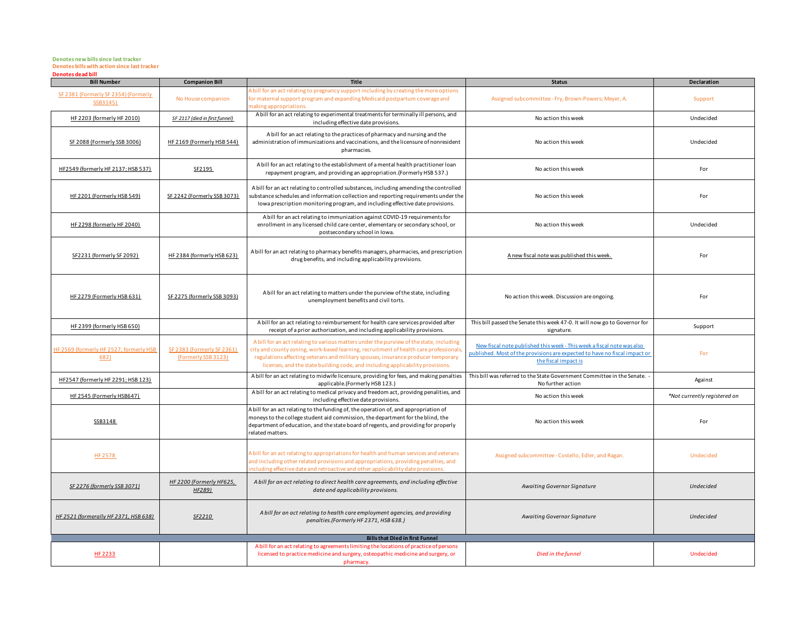## **Denotes new bills since last tracker Denotes bills with action since last tracker Denotes dead bill**

| <b>Bill Number</b>                               | <b>Companion Bill</b>                             | <b>Title</b>                                                                                                                                                                                                                                                                                                                                            | <b>Status</b>                                                                                                                                                                | Declaration                  |
|--------------------------------------------------|---------------------------------------------------|---------------------------------------------------------------------------------------------------------------------------------------------------------------------------------------------------------------------------------------------------------------------------------------------------------------------------------------------------------|------------------------------------------------------------------------------------------------------------------------------------------------------------------------------|------------------------------|
| SF 2381 (Formerly SF 2354) (Formerly<br>SSB3145) | No House companion                                | A bill for an act relating to pregnancy support including by creating the more options<br>or maternal support program and expanding Medicaid postpartum coverage and<br>naking appropriations.                                                                                                                                                          | Assigned subcommittee - Fry, Brown-Powers; Meyer, A.                                                                                                                         | Support                      |
| HF 2203 (formerly HF 2010)                       | SF 2117 (died in first funnel)                    | A bill for an act relating to experimental treatments for terminally ill persons, and<br>including effective date provisions.                                                                                                                                                                                                                           | No action this week                                                                                                                                                          | Undecided                    |
| SF 2088 (Formerly SSB 3006)                      | HF 2169 (Formerly HSB 544)                        | A bill for an act relating to the practices of pharmacy and nursing and the<br>administration of immunizations and vaccinations, and the licensure of nonresident<br>pharmacies.                                                                                                                                                                        | No action this week                                                                                                                                                          | Undecided                    |
| HF2549 (formerly HF 2137; HSB 537)               | SF2195                                            | A bill for an act relating to the establishment of a mental health practitioner loan<br>repayment program, and providing an appropriation. (Formerly HSB 537.)                                                                                                                                                                                          | No action this week                                                                                                                                                          | For                          |
| HF 2201 (Formerly HSB 549)                       | SF 2242 (Formerly SSB 3073)                       | A bill for an act relating to controlled substances, including amending the controlled<br>substance schedules and information collection and reporting requirements under the<br>lowa prescription monitoring program, and including effective date provisions.                                                                                         | No action this week                                                                                                                                                          | For                          |
| HF 2298 (formerly HF 2040)                       |                                                   | A bill for an act relating to immunization against COVID-19 requirements for<br>enrollment in any licensed child care center, elementary or secondary school, or<br>postsecondary school in Iowa.                                                                                                                                                       | No action this week                                                                                                                                                          | Undecided                    |
| SF2231 (formerly SF 2092)                        | HF 2384 (formerly HSB 623)                        | A bill for an act relating to pharmacy benefits managers, pharmacies, and prescription<br>drug benefits, and including applicability provisions.                                                                                                                                                                                                        | A new fiscal note was published this week.                                                                                                                                   | For                          |
| HF 2279 (Formerly HSB 631)                       | SF 2275 (formerly SSB 3093)                       | A bill for an act relating to matters under the purview of the state, including<br>unemployment benefits and civil torts.                                                                                                                                                                                                                               | No action this week. Discussion are ongoing.                                                                                                                                 | For                          |
| HF 2399 (formerly HSB 650)                       |                                                   | A bill for an act relating to reimbursement for health care services provided after<br>receipt of a prior authorization, and including applicability provisions.                                                                                                                                                                                        | This bill passed the Senate this week 47-0. It will now go to Governor for<br>signature.                                                                                     | Support                      |
| HF 2569 (formerly HF 2527; formerly HSB<br>682)  | SF 2383 (Formerly SF 2361)<br>(Formerly SSB 3123) | A bill for an act relating to various matters under the purview of the state, including<br>city and county zoning, work-based learning, recruitment of health care professionals<br>regulations affecting veterans and military spouses, insurance producer temporary<br>licenses, and the state building code, and including applicability provisions. | New fiscal note published this week - This week a fiscal note was also<br>published. Most of the provisions are expected to have no fiscal impact or<br>the fiscal impact is | For                          |
| HF2547 (formerly HF 2291; HSB 123)               |                                                   | A bill for an act relating to midwife licensure, providing for fees, and making penalties<br>applicable.(Formerly HSB 123.)                                                                                                                                                                                                                             | This bill was referred to the State Government Committee in the Senate.<br>No further action                                                                                 | Against                      |
| HF 2545 (Formerly HSB647)                        |                                                   | A bill for an act relating to medical privacy and freedom act, providng penalities, and<br>including effective date provisions.                                                                                                                                                                                                                         | No action this week                                                                                                                                                          | *Not currently registered on |
| SSB3148                                          |                                                   | A bill for an act relating to the funding of, the operation of, and appropriation of<br>moneys to the college student aid commission, the department for the blind, the<br>department of education, and the state board of regents, and providing for properly<br>related matters.                                                                      | No action this week                                                                                                                                                          | For                          |
| HF 2578                                          |                                                   | A bill for an act relating to appropriations for health and human services and veterans<br>and including other related provisions and appropriations, providing penalties, and<br>ncluding effective date and retroactive and other applicability date provisions.                                                                                      | Assigned subcommittee - Costello, Edler, and Ragan.                                                                                                                          | Undecided                    |
| SF 2276 (formerly SSB 3071)                      | HF 2200 (Formerly HF625,<br>HF289)                | A bill for an act relating to direct health care agreements, and including effective<br>date and applicability provisions.                                                                                                                                                                                                                              | Awaiting Governor Signature                                                                                                                                                  | <b>Undecided</b>             |
| HF 2521 (formerally HF 2371, HSB 638)            | SF2210                                            | A bill for an act relating to health care employment agencies, and providing<br>penalties.(Formerly HF 2371, HSB 638.)                                                                                                                                                                                                                                  | Awaiting Governor Signature                                                                                                                                                  | <b>Undecided</b>             |
| <b>Bills that Died in first Funnel</b>           |                                                   |                                                                                                                                                                                                                                                                                                                                                         |                                                                                                                                                                              |                              |
| <b>HF 2233</b>                                   |                                                   | A bill for an act relating to agreements limiting the locations of practice of persons<br>licensed to practice medicine and surgery, osteopathic medicine and surgery, or<br>pharmacy.                                                                                                                                                                  | Died in the funnel                                                                                                                                                           | Undecided                    |